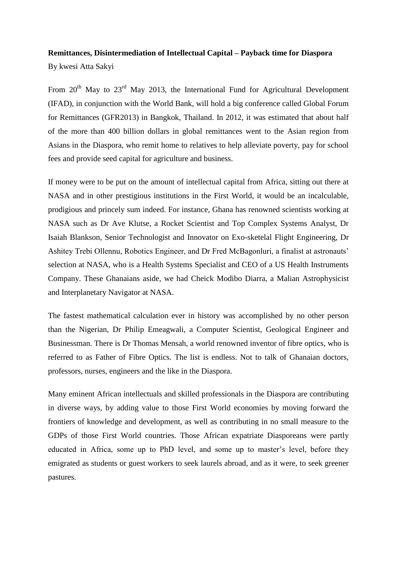## **Remittances, Disintermediation of Intellectual Capital – Payback time for Diaspora**

By kwesi Atta Sakyi

From  $20<sup>th</sup>$  May to  $23<sup>rd</sup>$  May 2013, the International Fund for Agricultural Development (IFAD), in conjunction with the World Bank, will hold a big conference called Global Forum for Remittances (GFR2013) in Bangkok, Thailand. In 2012, it was estimated that about half of the more than 400 billion dollars in global remittances went to the Asian region from Asians in the Diaspora, who remit home to relatives to help alleviate poverty, pay for school fees and provide seed capital for agriculture and business.

If money were to be put on the amount of intellectual capital from Africa, sitting out there at NASA and in other prestigious institutions in the First World, it would be an incalculable, prodigious and princely sum indeed. For instance, Ghana has renowned scientists working at NASA such as Dr Ave Klutse, a Rocket Scientist and Top Complex Systems Analyst, Dr Isaiah Blankson, Senior Technologist and Innovator on Exo-sketelal Flight Engineering, Dr Ashitey Trebi Ollennu, Robotics Engineer, and Dr Fred McBagonluri, a finalist at astronauts' selection at NASA, who is a Health Systems Specialist and CEO of a US Health Instruments Company. These Ghanaians aside, we had Cheick Modibo Diarra, a Malian Astrophysicist and Interplanetary Navigator at NASA.

The fastest mathematical calculation ever in history was accomplished by no other person than the Nigerian, Dr Philip Emeagwali, a Computer Scientist, Geological Engineer and Businessman. There is Dr Thomas Mensah, a world renowned inventor of fibre optics, who is referred to as Father of Fibre Optics. The list is endless. Not to talk of Ghanaian doctors, professors, nurses, engineers and the like in the Diaspora.

Many eminent African intellectuals and skilled professionals in the Diaspora are contributing in diverse ways, by adding value to those First World economies by moving forward the frontiers of knowledge and development, as well as contributing in no small measure to the GDPs of those First World countries. Those African expatriate Diasporeans were partly educated in Africa, some up to PhD level, and some up to master's level, before they emigrated as students or guest workers to seek laurels abroad, and as it were, to seek greener pastures.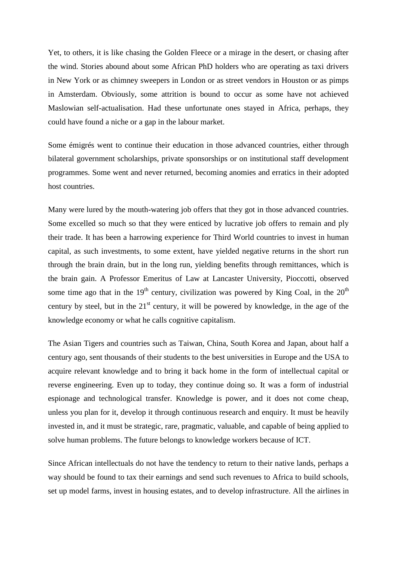Yet, to others, it is like chasing the Golden Fleece or a mirage in the desert, or chasing after the wind. Stories abound about some African PhD holders who are operating as taxi drivers in New York or as chimney sweepers in London or as street vendors in Houston or as pimps in Amsterdam. Obviously, some attrition is bound to occur as some have not achieved Maslowian self-actualisation. Had these unfortunate ones stayed in Africa, perhaps, they could have found a niche or a gap in the labour market.

Some émigrés went to continue their education in those advanced countries, either through bilateral government scholarships, private sponsorships or on institutional staff development programmes. Some went and never returned, becoming anomies and erratics in their adopted host countries.

Many were lured by the mouth-watering job offers that they got in those advanced countries. Some excelled so much so that they were enticed by lucrative job offers to remain and ply their trade. It has been a harrowing experience for Third World countries to invest in human capital, as such investments, to some extent, have yielded negative returns in the short run through the brain drain, but in the long run, yielding benefits through remittances, which is the brain gain. A Professor Emeritus of Law at Lancaster University, Pioccotti, observed some time ago that in the 19<sup>th</sup> century, civilization was powered by King Coal, in the  $20<sup>th</sup>$ century by steel, but in the  $21<sup>st</sup>$  century, it will be powered by knowledge, in the age of the knowledge economy or what he calls cognitive capitalism.

The Asian Tigers and countries such as Taiwan, China, South Korea and Japan, about half a century ago, sent thousands of their students to the best universities in Europe and the USA to acquire relevant knowledge and to bring it back home in the form of intellectual capital or reverse engineering. Even up to today, they continue doing so. It was a form of industrial espionage and technological transfer. Knowledge is power, and it does not come cheap, unless you plan for it, develop it through continuous research and enquiry. It must be heavily invested in, and it must be strategic, rare, pragmatic, valuable, and capable of being applied to solve human problems. The future belongs to knowledge workers because of ICT.

Since African intellectuals do not have the tendency to return to their native lands, perhaps a way should be found to tax their earnings and send such revenues to Africa to build schools, set up model farms, invest in housing estates, and to develop infrastructure. All the airlines in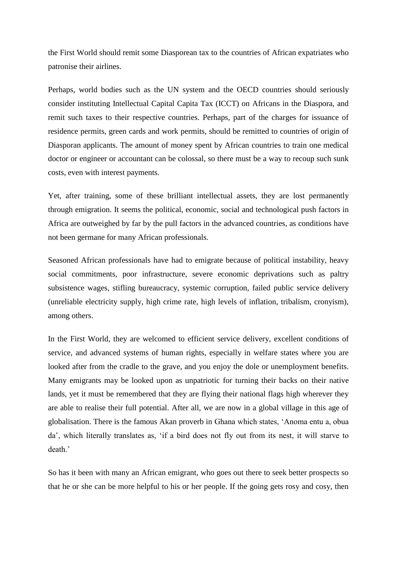the First World should remit some Diasporean tax to the countries of African expatriates who patronise their airlines.

Perhaps, world bodies such as the UN system and the OECD countries should seriously consider instituting Intellectual Capital Capita Tax (ICCT) on Africans in the Diaspora, and remit such taxes to their respective countries. Perhaps, part of the charges for issuance of residence permits, green cards and work permits, should be remitted to countries of origin of Diasporan applicants. The amount of money spent by African countries to train one medical doctor or engineer or accountant can be colossal, so there must be a way to recoup such sunk costs, even with interest payments.

Yet, after training, some of these brilliant intellectual assets, they are lost permanently through emigration. It seems the political, economic, social and technological push factors in Africa are outweighed by far by the pull factors in the advanced countries, as conditions have not been germane for many African professionals.

Seasoned African professionals have had to emigrate because of political instability, heavy social commitments, poor infrastructure, severe economic deprivations such as paltry subsistence wages, stifling bureaucracy, systemic corruption, failed public service delivery (unreliable electricity supply, high crime rate, high levels of inflation, tribalism, cronyism), among others.

In the First World, they are welcomed to efficient service delivery, excellent conditions of service, and advanced systems of human rights, especially in welfare states where you are looked after from the cradle to the grave, and you enjoy the dole or unemployment benefits. Many emigrants may be looked upon as unpatriotic for turning their backs on their native lands, yet it must be remembered that they are flying their national flags high wherever they are able to realise their full potential. After all, we are now in a global village in this age of globalisation. There is the famous Akan proverb in Ghana which states, 'Anoma entu a, obua da', which literally translates as, 'if a bird does not fly out from its nest, it will starve to death.'

So has it been with many an African emigrant, who goes out there to seek better prospects so that he or she can be more helpful to his or her people. If the going gets rosy and cosy, then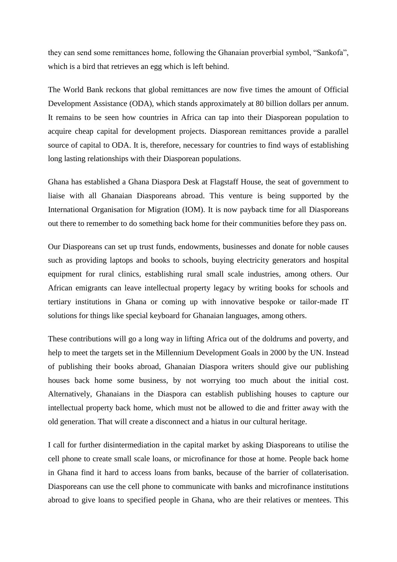they can send some remittances home, following the Ghanaian proverbial symbol, "Sankofa", which is a bird that retrieves an egg which is left behind.

The World Bank reckons that global remittances are now five times the amount of Official Development Assistance (ODA), which stands approximately at 80 billion dollars per annum. It remains to be seen how countries in Africa can tap into their Diasporean population to acquire cheap capital for development projects. Diasporean remittances provide a parallel source of capital to ODA. It is, therefore, necessary for countries to find ways of establishing long lasting relationships with their Diasporean populations.

Ghana has established a Ghana Diaspora Desk at Flagstaff House, the seat of government to liaise with all Ghanaian Diasporeans abroad. This venture is being supported by the International Organisation for Migration (IOM). It is now payback time for all Diasporeans out there to remember to do something back home for their communities before they pass on.

Our Diasporeans can set up trust funds, endowments, businesses and donate for noble causes such as providing laptops and books to schools, buying electricity generators and hospital equipment for rural clinics, establishing rural small scale industries, among others. Our African emigrants can leave intellectual property legacy by writing books for schools and tertiary institutions in Ghana or coming up with innovative bespoke or tailor-made IT solutions for things like special keyboard for Ghanaian languages, among others.

These contributions will go a long way in lifting Africa out of the doldrums and poverty, and help to meet the targets set in the Millennium Development Goals in 2000 by the UN. Instead of publishing their books abroad, Ghanaian Diaspora writers should give our publishing houses back home some business, by not worrying too much about the initial cost. Alternatively, Ghanaians in the Diaspora can establish publishing houses to capture our intellectual property back home, which must not be allowed to die and fritter away with the old generation. That will create a disconnect and a hiatus in our cultural heritage.

I call for further disintermediation in the capital market by asking Diasporeans to utilise the cell phone to create small scale loans, or microfinance for those at home. People back home in Ghana find it hard to access loans from banks, because of the barrier of collaterisation. Diasporeans can use the cell phone to communicate with banks and microfinance institutions abroad to give loans to specified people in Ghana, who are their relatives or mentees. This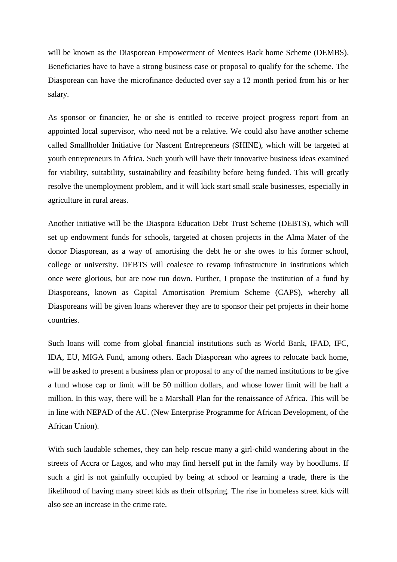will be known as the Diasporean Empowerment of Mentees Back home Scheme (DEMBS). Beneficiaries have to have a strong business case or proposal to qualify for the scheme. The Diasporean can have the microfinance deducted over say a 12 month period from his or her salary.

As sponsor or financier, he or she is entitled to receive project progress report from an appointed local supervisor, who need not be a relative. We could also have another scheme called Smallholder Initiative for Nascent Entrepreneurs (SHINE), which will be targeted at youth entrepreneurs in Africa. Such youth will have their innovative business ideas examined for viability, suitability, sustainability and feasibility before being funded. This will greatly resolve the unemployment problem, and it will kick start small scale businesses, especially in agriculture in rural areas.

Another initiative will be the Diaspora Education Debt Trust Scheme (DEBTS), which will set up endowment funds for schools, targeted at chosen projects in the Alma Mater of the donor Diasporean, as a way of amortising the debt he or she owes to his former school, college or university. DEBTS will coalesce to revamp infrastructure in institutions which once were glorious, but are now run down. Further, I propose the institution of a fund by Diasporeans, known as Capital Amortisation Premium Scheme (CAPS), whereby all Diasporeans will be given loans wherever they are to sponsor their pet projects in their home countries.

Such loans will come from global financial institutions such as World Bank, IFAD, IFC, IDA, EU, MIGA Fund, among others. Each Diasporean who agrees to relocate back home, will be asked to present a business plan or proposal to any of the named institutions to be give a fund whose cap or limit will be 50 million dollars, and whose lower limit will be half a million. In this way, there will be a Marshall Plan for the renaissance of Africa. This will be in line with NEPAD of the AU. (New Enterprise Programme for African Development, of the African Union).

With such laudable schemes, they can help rescue many a girl-child wandering about in the streets of Accra or Lagos, and who may find herself put in the family way by hoodlums. If such a girl is not gainfully occupied by being at school or learning a trade, there is the likelihood of having many street kids as their offspring. The rise in homeless street kids will also see an increase in the crime rate.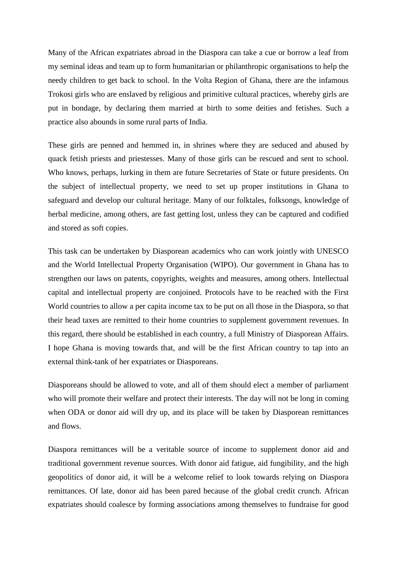Many of the African expatriates abroad in the Diaspora can take a cue or borrow a leaf from my seminal ideas and team up to form humanitarian or philanthropic organisations to help the needy children to get back to school. In the Volta Region of Ghana, there are the infamous Trokosi girls who are enslaved by religious and primitive cultural practices, whereby girls are put in bondage, by declaring them married at birth to some deities and fetishes. Such a practice also abounds in some rural parts of India.

These girls are penned and hemmed in, in shrines where they are seduced and abused by quack fetish priests and priestesses. Many of those girls can be rescued and sent to school. Who knows, perhaps, lurking in them are future Secretaries of State or future presidents. On the subject of intellectual property, we need to set up proper institutions in Ghana to safeguard and develop our cultural heritage. Many of our folktales, folksongs, knowledge of herbal medicine, among others, are fast getting lost, unless they can be captured and codified and stored as soft copies.

This task can be undertaken by Diasporean academics who can work jointly with UNESCO and the World Intellectual Property Organisation (WIPO). Our government in Ghana has to strengthen our laws on patents, copyrights, weights and measures, among others. Intellectual capital and intellectual property are conjoined. Protocols have to be reached with the First World countries to allow a per capita income tax to be put on all those in the Diaspora, so that their head taxes are remitted to their home countries to supplement government revenues. In this regard, there should be established in each country, a full Ministry of Diasporean Affairs. I hope Ghana is moving towards that, and will be the first African country to tap into an external think-tank of her expatriates or Diasporeans.

Diasporeans should be allowed to vote, and all of them should elect a member of parliament who will promote their welfare and protect their interests. The day will not be long in coming when ODA or donor aid will dry up, and its place will be taken by Diasporean remittances and flows.

Diaspora remittances will be a veritable source of income to supplement donor aid and traditional government revenue sources. With donor aid fatigue, aid fungibility, and the high geopolitics of donor aid, it will be a welcome relief to look towards relying on Diaspora remittances. Of late, donor aid has been pared because of the global credit crunch. African expatriates should coalesce by forming associations among themselves to fundraise for good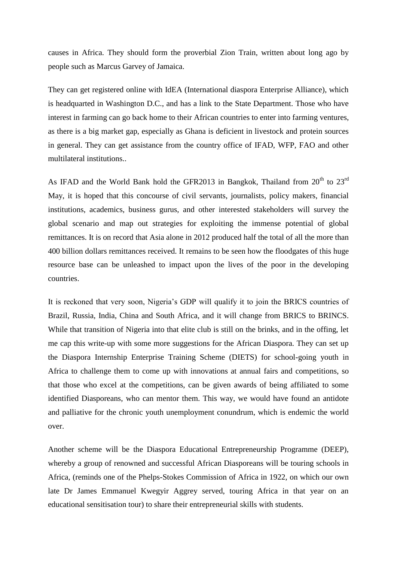causes in Africa. They should form the proverbial Zion Train, written about long ago by people such as Marcus Garvey of Jamaica.

They can get registered online with IdEA (International diaspora Enterprise Alliance), which is headquarted in Washington D.C., and has a link to the State Department. Those who have interest in farming can go back home to their African countries to enter into farming ventures, as there is a big market gap, especially as Ghana is deficient in livestock and protein sources in general. They can get assistance from the country office of IFAD, WFP, FAO and other multilateral institutions..

As IFAD and the World Bank hold the GFR2013 in Bangkok, Thailand from  $20^{th}$  to  $23^{rd}$ May, it is hoped that this concourse of civil servants, journalists, policy makers, financial institutions, academics, business gurus, and other interested stakeholders will survey the global scenario and map out strategies for exploiting the immense potential of global remittances. It is on record that Asia alone in 2012 produced half the total of all the more than 400 billion dollars remittances received. It remains to be seen how the floodgates of this huge resource base can be unleashed to impact upon the lives of the poor in the developing countries.

It is reckoned that very soon, Nigeria's GDP will qualify it to join the BRICS countries of Brazil, Russia, India, China and South Africa, and it will change from BRICS to BRINCS. While that transition of Nigeria into that elite club is still on the brinks, and in the offing, let me cap this write-up with some more suggestions for the African Diaspora. They can set up the Diaspora Internship Enterprise Training Scheme (DIETS) for school-going youth in Africa to challenge them to come up with innovations at annual fairs and competitions, so that those who excel at the competitions, can be given awards of being affiliated to some identified Diasporeans, who can mentor them. This way, we would have found an antidote and palliative for the chronic youth unemployment conundrum, which is endemic the world over.

Another scheme will be the Diaspora Educational Entrepreneurship Programme (DEEP), whereby a group of renowned and successful African Diasporeans will be touring schools in Africa, (reminds one of the Phelps-Stokes Commission of Africa in 1922, on which our own late Dr James Emmanuel Kwegyir Aggrey served, touring Africa in that year on an educational sensitisation tour) to share their entrepreneurial skills with students.